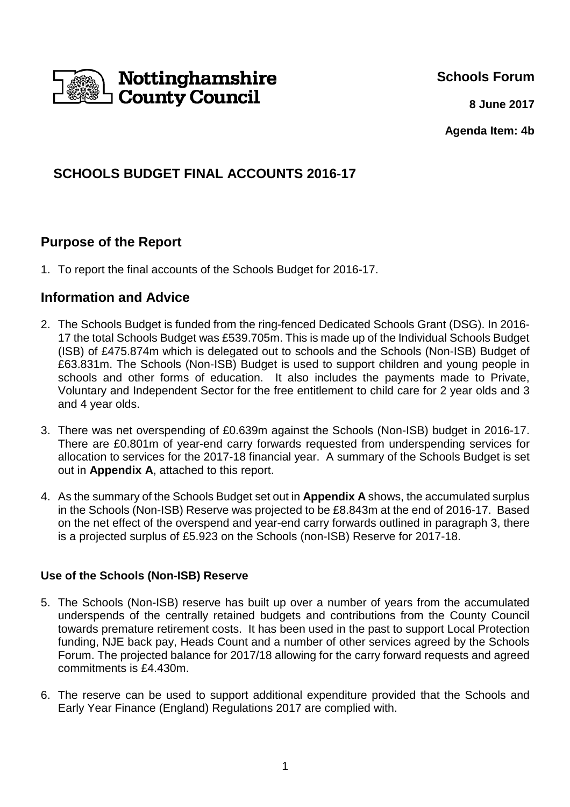

**Schools Forum**

**8 June 2017**

**Agenda Item: 4b**

# **SCHOOLS BUDGET FINAL ACCOUNTS 2016-17**

## **Purpose of the Report**

1. To report the final accounts of the Schools Budget for 2016-17.

### **Information and Advice**

- 2. The Schools Budget is funded from the ring-fenced Dedicated Schools Grant (DSG). In 2016- 17 the total Schools Budget was £539.705m. This is made up of the Individual Schools Budget (ISB) of £475.874m which is delegated out to schools and the Schools (Non-ISB) Budget of £63.831m. The Schools (Non-ISB) Budget is used to support children and young people in schools and other forms of education. It also includes the payments made to Private, Voluntary and Independent Sector for the free entitlement to child care for 2 year olds and 3 and 4 year olds.
- 3. There was net overspending of £0.639m against the Schools (Non-ISB) budget in 2016-17. There are £0.801m of year-end carry forwards requested from underspending services for allocation to services for the 2017-18 financial year. A summary of the Schools Budget is set out in **Appendix A**, attached to this report.
- 4. As the summary of the Schools Budget set out in **Appendix A** shows, the accumulated surplus in the Schools (Non-ISB) Reserve was projected to be £8.843m at the end of 2016-17. Based on the net effect of the overspend and year-end carry forwards outlined in paragraph 3, there is a projected surplus of £5.923 on the Schools (non-ISB) Reserve for 2017-18.

#### **Use of the Schools (Non-ISB) Reserve**

- 5. The Schools (Non-ISB) reserve has built up over a number of years from the accumulated underspends of the centrally retained budgets and contributions from the County Council towards premature retirement costs. It has been used in the past to support Local Protection funding, NJE back pay, Heads Count and a number of other services agreed by the Schools Forum. The projected balance for 2017/18 allowing for the carry forward requests and agreed commitments is £4.430m.
- 6. The reserve can be used to support additional expenditure provided that the Schools and Early Year Finance (England) Regulations 2017 are complied with.